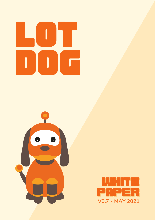# Lot DOG<sub>O</sub>



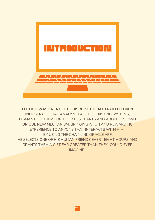

### **LOTDOG WAS CREATED TO DISRUPT THE AUTO-YIELD TOKEN INDUSTRY.** HE HAS ANALYZED ALL THE EXISTING SYSTEMS, DISMANTLED THEM FOR THEIR BEST PARTS AND ADDED HIS OWN UNIQUE NEW MECHANISM, BRINGING A FUN AND REWARDING EXPERIENCE TO ANYONE THAT INTERACTS WITH HIM. BY USING THE CHAINLINK ORACLE VRF HE SELECTS ONE OF HIS HUMAN FRIENDS EVERY EIGHT HOURS AND GRANTS THEM A GIFT FAR GREATER THAN THEY COULD EVER IMAGINE.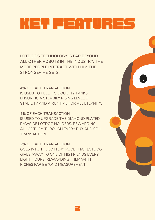# KEY FEATURES

**LOTDOG'S TECHNOLOGY IS FAR BEYOND ALL OTHER ROBOTS IN THE INDUSTRY. THE MORE PEOPLE INTERACT WITH HIM THE STRONGER HE GETS.**

**4% OF EACH TRANSACTION** IS USED TO FUEL HIS LIQUIDITY TANKS, ENSURING A STEADILY RISING LEVEL OF STABILITY AND A RUNTIME FOR ALL ETERNITY.

**4% OF EACH TRANSACTION** IS USED TO UPGRADE THE DIAMOND PLATED PAWS OF LOTDOG HOLDERS, REWARDING ALL OF THEM THROUGH EVERY BUY AND SELL TRANSACTION.

**2% OF EACH TRANSACTION** GOES INTO THE LOTTERY POOL THAT LOTDOG GIVES AWAY TO ONE OF HIS FRIENDS EVERY EIGHT HOURS, REWARDING THEM WITH RICHES FAR BEYOND MEASUREMENT.

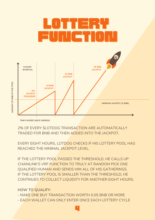

2% OF EVERY \$LOTDOG TRANSACTION ARE AUTOMATICALLY TRADED FOR BNB AND THEN ADDED INTO THE JACKPOT.

EVERY EIGHT HOURS, LOTDOG CHECKS IF HIS LOTTERY POOL HAS REACHED THE MINIMAL JACKPOT LEVEL.

IF THE LOTTERY POOL PASSED THE THRESHOLD, HE CALLS UP CHAINLINK'S VRF FUNCTION TO TRULY AT RANDOM PICK ONE QUALIFIED HUMAN AND SENDS HIM ALL OF HIS GATHERINGS. IF THE LOTTERY POOL IS SMALLER THAN THE THRESHOLD, HE CONTINUES TO COLLECT LIQUIDITY FOR ANOTHER EIGHT HOURS.

### **HOW TO QUALIFY:**

- MAKE ONE BUY TRANSACTION WORTH 0.05 BNB OR MORE

- EACH WALLET CAN ONLY ENTER ONCE EACH LOTTERY CYCLE

4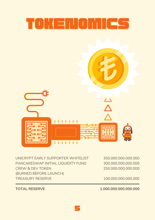

UNICRYPT EARLY SUPPORTER WHITELIST PANCAKESWAP INITIAL LIQUIDITY FUND CREW & DEV TOKEN (BURNED BEFORE LAUNCH) TREASURY RESERVE

350.000.000.000.000 300.000.000.000.000 250.000.000.000.000

100.000.000.000.000

**TOTAL RESERVE**

**1.000.000.000.000.000**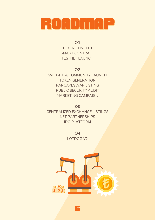## RUADINAP

**Q1** TOKEN CONCEPT SMART CONTRACT TESTNET LAUNCH

### **Q2**

WEBSITE & COMMUNITY LAUNCH TOKEN GENERATION PANCAKESWAP LISTING PUBLIC SECURITY AUDIT MARKETING CAMPAIGN

**Q3**

CENTRALIZED EXCHANGE LISTINGS NFT PARTNERSHIPS IDO PLATFORM

> **Q4** LOTDOG V2